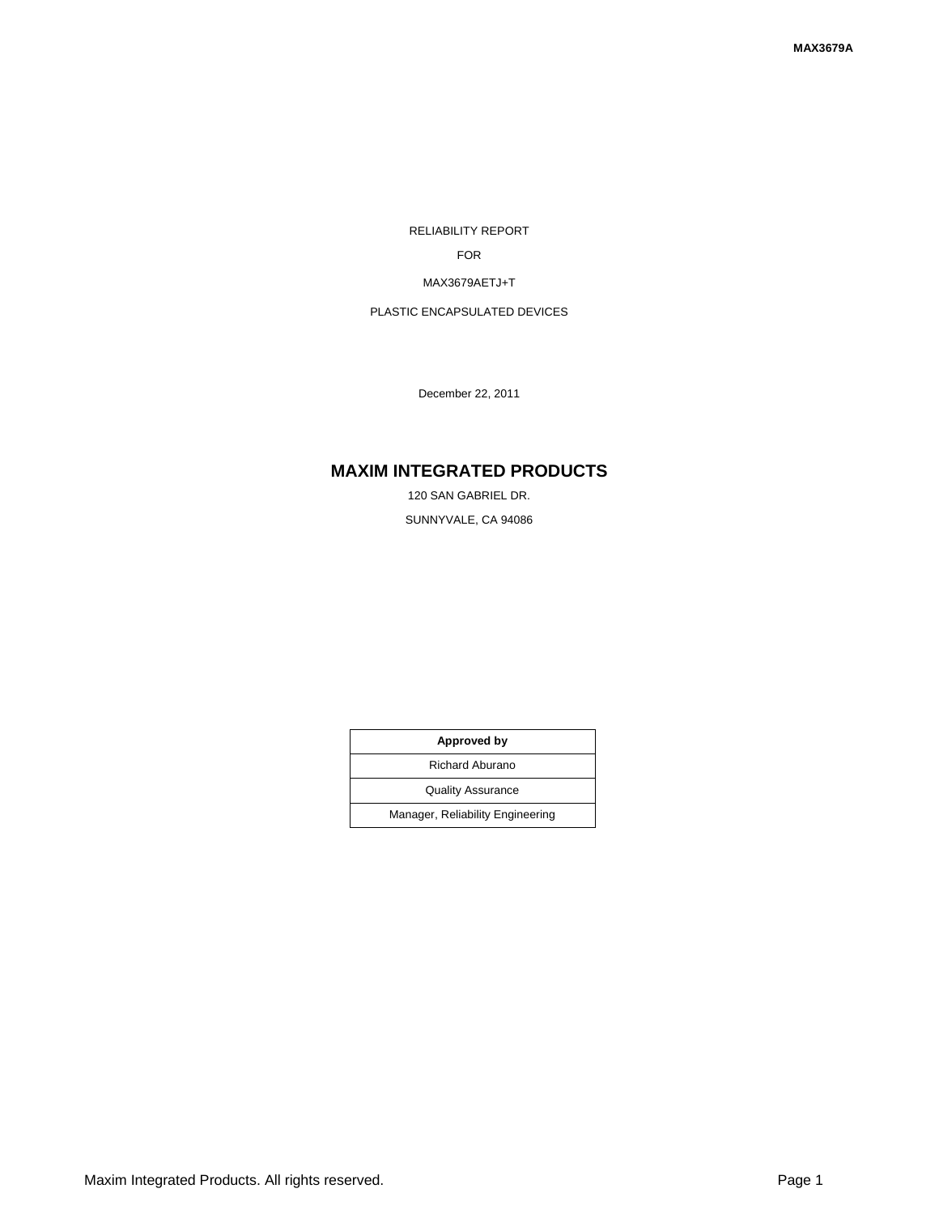RELIABILITY REPORT

FOR

MAX3679AETJ+T

PLASTIC ENCAPSULATED DEVICES

December 22, 2011

# **MAXIM INTEGRATED PRODUCTS**

120 SAN GABRIEL DR. SUNNYVALE, CA 94086

| Approved by                      |  |  |
|----------------------------------|--|--|
| <b>Richard Aburano</b>           |  |  |
| <b>Quality Assurance</b>         |  |  |
| Manager, Reliability Engineering |  |  |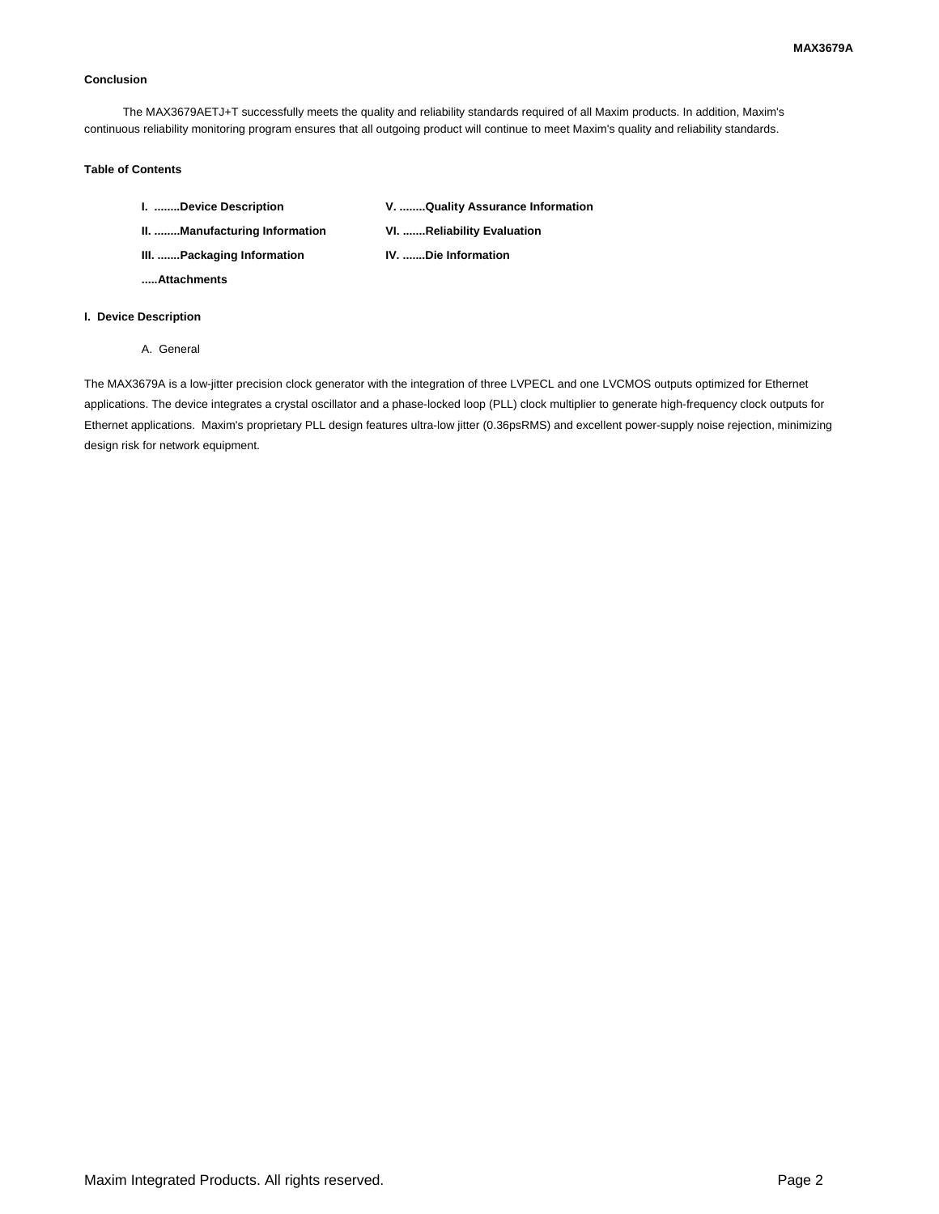#### **Conclusion**

The MAX3679AETJ+T successfully meets the quality and reliability standards required of all Maxim products. In addition, Maxim's continuous reliability monitoring program ensures that all outgoing product will continue to meet Maxim's quality and reliability standards.

### **Table of Contents**

| I. Device Description         | V. Quality Assurance Information |
|-------------------------------|----------------------------------|
| II. Manufacturing Information | VI. Reliability Evaluation       |
| III. Packaging Information    | <b>IV. Die Information</b>       |

**.....Attachments**

#### **I. Device Description**

A. General

The MAX3679A is a low-jitter precision clock generator with the integration of three LVPECL and one LVCMOS outputs optimized for Ethernet applications. The device integrates a crystal oscillator and a phase-locked loop (PLL) clock multiplier to generate high-frequency clock outputs for Ethernet applications. Maxim's proprietary PLL design features ultra-low jitter (0.36psRMS) and excellent power-supply noise rejection, minimizing design risk for network equipment.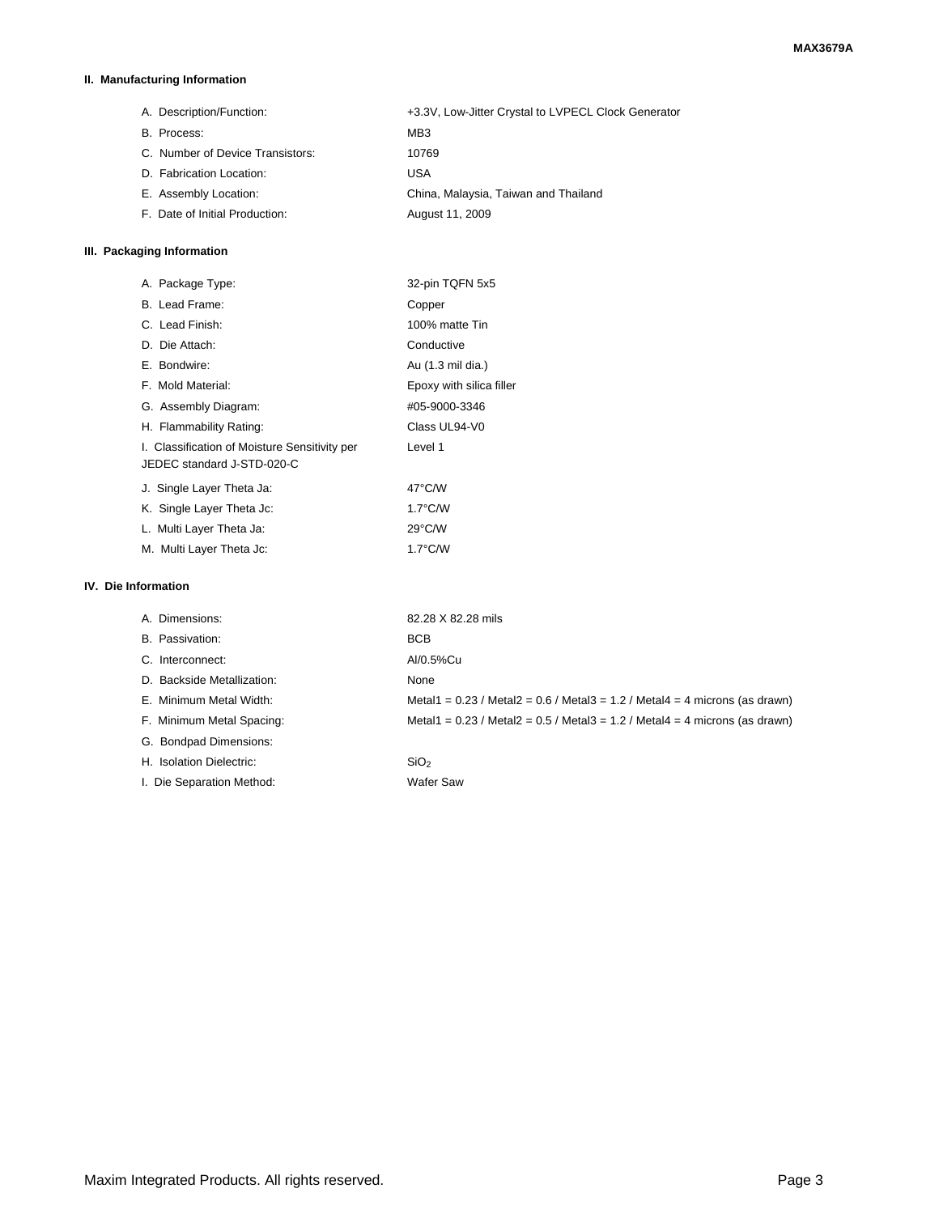### **II. Manufacturing Information**

A. Description/Function: +3.3V, Low-Jitter Crystal to LVPECL Clock Generator B. Process: MB3 C. Number of Device Transistors: 10769 D. Fabrication Location: USA E. Assembly Location: China, Malaysia, Taiwan and Thailand F. Date of Initial Production: August 11, 2009

### **III. Packaging Information**

| A. Package Type:                                                            | 32-pin TQFN 5x5          |
|-----------------------------------------------------------------------------|--------------------------|
| B. Lead Frame:                                                              | Copper                   |
| C. Lead Finish:                                                             | 100% matte Tin           |
| D. Die Attach:                                                              | Conductive               |
| E. Bondwire:                                                                | Au (1.3 mil dia.)        |
| F. Mold Material:                                                           | Epoxy with silica filler |
| G. Assembly Diagram:                                                        | #05-9000-3346            |
| H. Flammability Rating:                                                     | Class UL94-V0            |
| I. Classification of Moisture Sensitivity per<br>JEDEC standard J-STD-020-C | Level 1                  |
| J. Single Layer Theta Ja:                                                   | $47^{\circ}$ C/W         |
| K. Single Layer Theta Jc:                                                   | $1.7^{\circ}$ C/W        |
| L. Multi Layer Theta Ja:                                                    | $29^{\circ}$ C/W         |
| M. Multi Layer Theta Jc:                                                    | $1.7^{\circ}$ C/W        |

### **IV. Die Information**

| A. Dimensions:             | 82.28 X 82.28 mils                                                                |
|----------------------------|-----------------------------------------------------------------------------------|
| B. Passivation:            | <b>BCB</b>                                                                        |
| C. Interconnect:           | Al/0.5%Cu                                                                         |
| D. Backside Metallization: | None                                                                              |
| E. Minimum Metal Width:    | Metal1 = $0.23$ / Metal2 = $0.6$ / Metal3 = 1.2 / Metal4 = 4 microns (as drawn)   |
| F. Minimum Metal Spacing:  | Metal1 = $0.23$ / Metal2 = $0.5$ / Metal3 = $1.2$ / Metal4 = 4 microns (as drawn) |
| G. Bondpad Dimensions:     |                                                                                   |
| H. Isolation Dielectric:   | SiO <sub>2</sub>                                                                  |
| I. Die Separation Method:  | Wafer Saw                                                                         |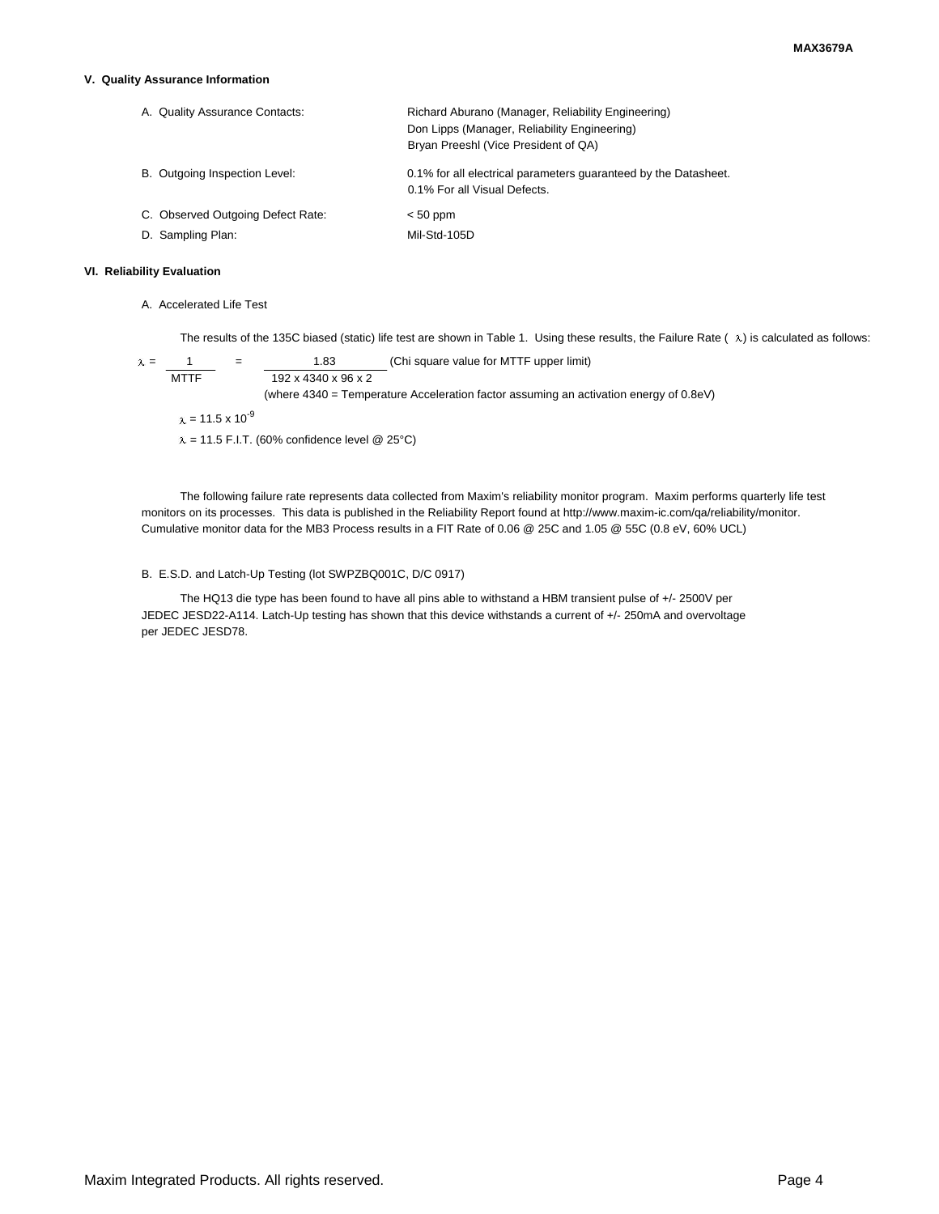#### **V. Quality Assurance Information**

| A. Quality Assurance Contacts:    | Richard Aburano (Manager, Reliability Engineering)<br>Don Lipps (Manager, Reliability Engineering)<br>Bryan Preeshl (Vice President of QA) |  |
|-----------------------------------|--------------------------------------------------------------------------------------------------------------------------------------------|--|
| B. Outgoing Inspection Level:     | 0.1% for all electrical parameters guaranteed by the Datasheet.<br>0.1% For all Visual Defects.                                            |  |
| C. Observed Outgoing Defect Rate: | $< 50$ ppm                                                                                                                                 |  |
| D. Sampling Plan:                 | Mil-Std-105D                                                                                                                               |  |

### **VI. Reliability Evaluation**

A. Accelerated Life Test

The results of the 135C biased (static) life test are shown in Table 1. Using these results, the Failure Rate ( $\lambda$ ) is calculated as follows:

 $\lambda = \frac{1}{\text{MTTF}}$  =  $\frac{1.83}{192 \times 4340 \times 96 \times 2}$  (Chi square value for MTTF upper limit)  $192 \times 4340 \times 96 \times 2$ (where 4340 = Temperature Acceleration factor assuming an activation energy of 0.8eV)  $x = 11.5 \times 10^{-9}$  $\lambda$  = 11.5 F.I.T. (60% confidence level @ 25°C)

The following failure rate represents data collected from Maxim's reliability monitor program. Maxim performs quarterly life test monitors on its processes. This data is published in the Reliability Report found at http://www.maxim-ic.com/qa/reliability/monitor. Cumulative monitor data for the MB3 Process results in a FIT Rate of 0.06 @ 25C and 1.05 @ 55C (0.8 eV, 60% UCL)

#### B. E.S.D. and Latch-Up Testing (lot SWPZBQ001C, D/C 0917)

The HQ13 die type has been found to have all pins able to withstand a HBM transient pulse of +/- 2500V per JEDEC JESD22-A114. Latch-Up testing has shown that this device withstands a current of +/- 250mA and overvoltage per JEDEC JESD78.